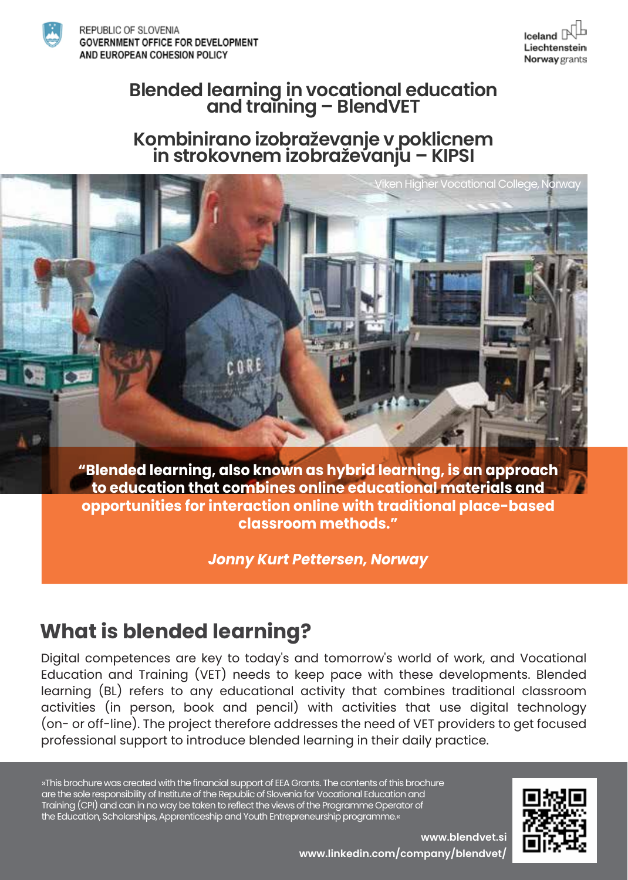

REPUBLIC OF SLOVENIA **GOVERNMENT OFFICE FOR DEVELOPMENT** AND EUROPEAN COHESION POLICY



# **Blended learning in vocational education and training – BlendVET**

# **Kombinirano izobraževanje v poklicnem in strokovnem izobraževanju – KIPSI**



**"Blended learning, also known as hybrid learning, is an approach to education that combines online educational materials and opportunities for interaction online with traditional place-based classroom methods."**

*Jonny Kurt Pettersen, Norway*

## **What is blended learning?**

Digital competences are key to today's and tomorrow's world of work, and Vocational Education and Training (VET) needs to keep pace with these developments. Blended learning (BL) refers to any educational activity that combines traditional classroom activities (in person, book and pencil) with activities that use digital technology (on- or off-line). The project therefore addresses the need of VET providers to get focused professional support to introduce blended learning in their daily practice.

»This brochure was created with the financial support of EEA Grants. The contents of this brochure are the sole responsibility of Institute of the Republic of Slovenia for Vocational Education and Training (CPI) and can in no way be taken to reflect the views of the Programme Operator of the Education, Scholarships, Apprenticeship and Youth Entrepreneurship programme.«



**www.blendvet.si www.linkedin.com/company/blendvet/**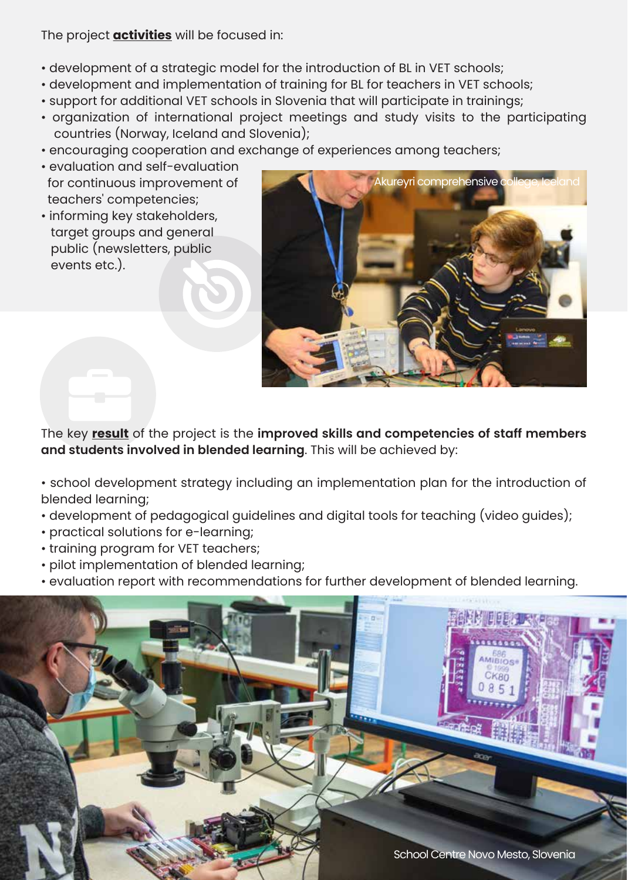The project **activities** will be focused in:

- development of a strategic model for the introduction of BL in VET schools;
- development and implementation of training for BL for teachers in VET schools;
- support for additional VET schools in Slovenia that will participate in trainings;
- organization of international project meetings and study visits to the participating countries (Norway, Iceland and Slovenia);
- encouraging cooperation and exchange of experiences among teachers;
- evaluation and self-evaluation for continuous improvement of teachers' competencies;
- informing key stakeholders, target groups and general public (newsletters, public events etc.).



The key **result** of the project is the **improved skills and competencies of staff members and students involved in blended learning**. This will be achieved by:

- school development strategy including an implementation plan for the introduction of blended learning;
- development of pedagogical guidelines and digital tools for teaching (video guides);
- practical solutions for e-learning;
- training program for VET teachers;
- pilot implementation of blended learning;
- evaluation report with recommendations for further development of blended learning.